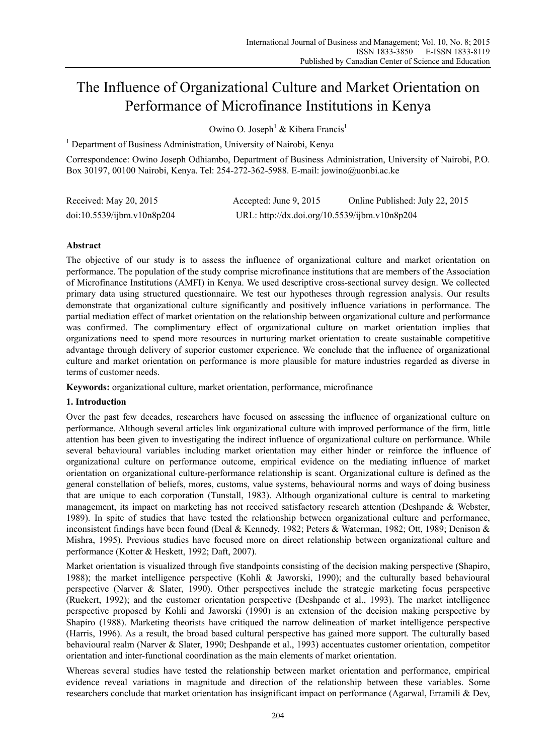# The Influence of Organizational Culture and Market Orientation on Performance of Microfinance Institutions in Kenya

Owino O. Joseph<sup>1</sup> & Kibera Francis<sup>1</sup>

<sup>1</sup> Department of Business Administration, University of Nairobi, Kenya

Correspondence: Owino Joseph Odhiambo, Department of Business Administration, University of Nairobi, P.O. Box 30197, 00100 Nairobi, Kenya. Tel: 254-272-362-5988. E-mail: jowino@uonbi.ac.ke

| Received: May 20, 2015     | Accepted: June 9, 2015                        | Online Published: July 22, 2015 |
|----------------------------|-----------------------------------------------|---------------------------------|
| doi:10.5539/ijbm.v10n8p204 | URL: http://dx.doi.org/10.5539/ijbm.v10n8p204 |                                 |

# **Abstract**

The objective of our study is to assess the influence of organizational culture and market orientation on performance. The population of the study comprise microfinance institutions that are members of the Association of Microfinance Institutions (AMFI) in Kenya. We used descriptive cross-sectional survey design. We collected primary data using structured questionnaire. We test our hypotheses through regression analysis. Our results demonstrate that organizational culture significantly and positively influence variations in performance. The partial mediation effect of market orientation on the relationship between organizational culture and performance was confirmed. The complimentary effect of organizational culture on market orientation implies that organizations need to spend more resources in nurturing market orientation to create sustainable competitive advantage through delivery of superior customer experience. We conclude that the influence of organizational culture and market orientation on performance is more plausible for mature industries regarded as diverse in terms of customer needs.

**Keywords:** organizational culture, market orientation, performance, microfinance

# **1. Introduction**

Over the past few decades, researchers have focused on assessing the influence of organizational culture on performance. Although several articles link organizational culture with improved performance of the firm, little attention has been given to investigating the indirect influence of organizational culture on performance. While several behavioural variables including market orientation may either hinder or reinforce the influence of organizational culture on performance outcome, empirical evidence on the mediating influence of market orientation on organizational culture-performance relationship is scant. Organizational culture is defined as the general constellation of beliefs, mores, customs, value systems, behavioural norms and ways of doing business that are unique to each corporation (Tunstall, 1983). Although organizational culture is central to marketing management, its impact on marketing has not received satisfactory research attention (Deshpande & Webster, 1989). In spite of studies that have tested the relationship between organizational culture and performance, inconsistent findings have been found (Deal & Kennedy, 1982; Peters & Waterman, 1982; Ott, 1989; Denison & Mishra, 1995). Previous studies have focused more on direct relationship between organizational culture and performance (Kotter & Heskett, 1992; Daft, 2007).

Market orientation is visualized through five standpoints consisting of the decision making perspective (Shapiro, 1988); the market intelligence perspective (Kohli & Jaworski, 1990); and the culturally based behavioural perspective (Narver & Slater, 1990). Other perspectives include the strategic marketing focus perspective (Ruekert, 1992); and the customer orientation perspective (Deshpande et al., 1993). The market intelligence perspective proposed by Kohli and Jaworski (1990) is an extension of the decision making perspective by Shapiro (1988). Marketing theorists have critiqued the narrow delineation of market intelligence perspective (Harris, 1996). As a result, the broad based cultural perspective has gained more support. The culturally based behavioural realm (Narver & Slater, 1990; Deshpande et al., 1993) accentuates customer orientation, competitor orientation and inter-functional coordination as the main elements of market orientation.

Whereas several studies have tested the relationship between market orientation and performance, empirical evidence reveal variations in magnitude and direction of the relationship between these variables. Some researchers conclude that market orientation has insignificant impact on performance (Agarwal, Erramili & Dev,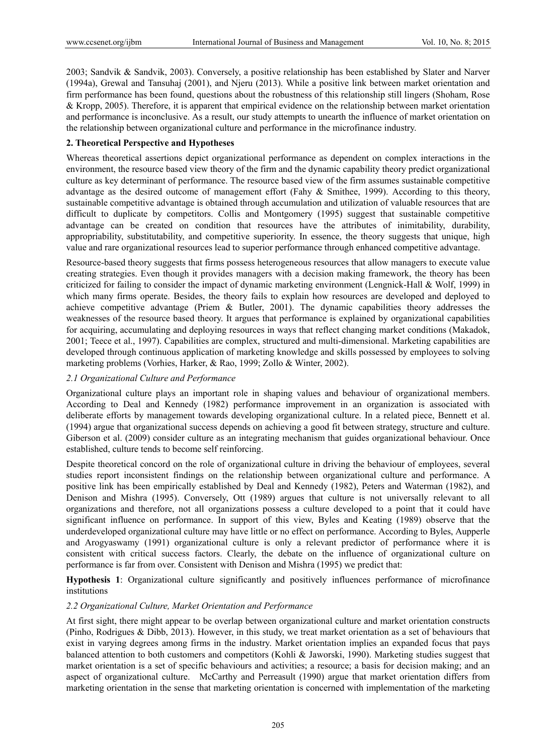2003; Sandvik & Sandvik, 2003). Conversely, a positive relationship has been established by Slater and Narver (1994a), Grewal and Tansuhaj (2001), and Njeru (2013). While a positive link between market orientation and firm performance has been found, questions about the robustness of this relationship still lingers (Shoham, Rose & Kropp, 2005). Therefore, it is apparent that empirical evidence on the relationship between market orientation and performance is inconclusive. As a result, our study attempts to unearth the influence of market orientation on the relationship between organizational culture and performance in the microfinance industry.

## **2. Theoretical Perspective and Hypotheses**

Whereas theoretical assertions depict organizational performance as dependent on complex interactions in the environment, the resource based view theory of the firm and the dynamic capability theory predict organizational culture as key determinant of performance. The resource based view of the firm assumes sustainable competitive advantage as the desired outcome of management effort (Fahy & Smithee, 1999). According to this theory, sustainable competitive advantage is obtained through accumulation and utilization of valuable resources that are difficult to duplicate by competitors. Collis and Montgomery (1995) suggest that sustainable competitive advantage can be created on condition that resources have the attributes of inimitability, durability, appropriability, substitutability, and competitive superiority. In essence, the theory suggests that unique, high value and rare organizational resources lead to superior performance through enhanced competitive advantage.

Resource-based theory suggests that firms possess heterogeneous resources that allow managers to execute value creating strategies. Even though it provides managers with a decision making framework, the theory has been criticized for failing to consider the impact of dynamic marketing environment (Lengnick-Hall & Wolf, 1999) in which many firms operate. Besides, the theory fails to explain how resources are developed and deployed to achieve competitive advantage (Priem & Butler, 2001). The dynamic capabilities theory addresses the weaknesses of the resource based theory. It argues that performance is explained by organizational capabilities for acquiring, accumulating and deploying resources in ways that reflect changing market conditions (Makadok, 2001; Teece et al., 1997). Capabilities are complex, structured and multi-dimensional. Marketing capabilities are developed through continuous application of marketing knowledge and skills possessed by employees to solving marketing problems (Vorhies, Harker, & Rao, 1999; Zollo & Winter, 2002).

## *2.1 Organizational Culture and Performance*

Organizational culture plays an important role in shaping values and behaviour of organizational members. According to Deal and Kennedy (1982) performance improvement in an organization is associated with deliberate efforts by management towards developing organizational culture. In a related piece, Bennett et al. (1994) argue that organizational success depends on achieving a good fit between strategy, structure and culture. Giberson et al. (2009) consider culture as an integrating mechanism that guides organizational behaviour. Once established, culture tends to become self reinforcing.

Despite theoretical concord on the role of organizational culture in driving the behaviour of employees, several studies report inconsistent findings on the relationship between organizational culture and performance. A positive link has been empirically established by Deal and Kennedy (1982), Peters and Waterman (1982), and Denison and Mishra (1995). Conversely, Ott (1989) argues that culture is not universally relevant to all organizations and therefore, not all organizations possess a culture developed to a point that it could have significant influence on performance. In support of this view, Byles and Keating (1989) observe that the underdeveloped organizational culture may have little or no effect on performance. According to Byles, Aupperle and Arogyaswamy (1991) organizational culture is only a relevant predictor of performance where it is consistent with critical success factors. Clearly, the debate on the influence of organizational culture on performance is far from over. Consistent with Denison and Mishra (1995) we predict that:

**Hypothesis 1**: Organizational culture significantly and positively influences performance of microfinance institutions

## *2.2 Organizational Culture, Market Orientation and Performance*

At first sight, there might appear to be overlap between organizational culture and market orientation constructs (Pinho, Rodrigues & Dibb, 2013). However, in this study, we treat market orientation as a set of behaviours that exist in varying degrees among firms in the industry. Market orientation implies an expanded focus that pays balanced attention to both customers and competitors (Kohli & Jaworski, 1990). Marketing studies suggest that market orientation is a set of specific behaviours and activities; a resource; a basis for decision making; and an aspect of organizational culture. McCarthy and Perreasult (1990) argue that market orientation differs from marketing orientation in the sense that marketing orientation is concerned with implementation of the marketing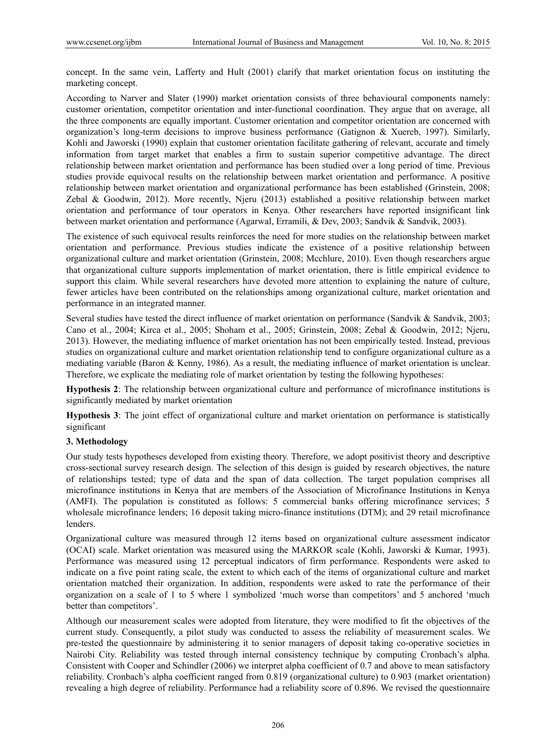concept. In the same vein, Lafferty and Hult (2001) clarify that market orientation focus on instituting the marketing concept.

According to Narver and Slater (1990) market orientation consists of three behavioural components namely: customer orientation, competitor orientation and inter-functional coordination. They argue that on average, all the three components are equally important. Customer orientation and competitor orientation are concerned with organization's long-term decisions to improve business performance (Gatignon & Xuereb, 1997). Similarly, Kohli and Jaworski (1990) explain that customer orientation facilitate gathering of relevant, accurate and timely information from target market that enables a firm to sustain superior competitive advantage. The direct relationship between market orientation and performance has been studied over a long period of time. Previous studies provide equivocal results on the relationship between market orientation and performance. A positive relationship between market orientation and organizational performance has been established (Grinstein, 2008; Zebal & Goodwin, 2012). More recently, Njeru (2013) established a positive relationship between market orientation and performance of tour operators in Kenya. Other researchers have reported insignificant link between market orientation and performance (Agarwal, Erramili, & Dev, 2003; Sandvik & Sandvik, 2003).

The existence of such equivocal results reinforces the need for more studies on the relationship between market orientation and performance. Previous studies indicate the existence of a positive relationship between organizational culture and market orientation (Grinstein, 2008; Mcchlure, 2010). Even though researchers argue that organizational culture supports implementation of market orientation, there is little empirical evidence to support this claim. While several researchers have devoted more attention to explaining the nature of culture, fewer articles have been contributed on the relationships among organizational culture, market orientation and performance in an integrated manner.

Several studies have tested the direct influence of market orientation on performance (Sandvik & Sandvik, 2003; Cano et al., 2004; Kirca et al., 2005; Shoham et al., 2005; Grinstein, 2008; Zebal & Goodwin, 2012; Njeru, 2013). However, the mediating influence of market orientation has not been empirically tested. Instead, previous studies on organizational culture and market orientation relationship tend to configure organizational culture as a mediating variable (Baron & Kenny, 1986). As a result, the mediating influence of market orientation is unclear. Therefore, we explicate the mediating role of market orientation by testing the following hypotheses:

**Hypothesis 2**: The relationship between organizational culture and performance of microfinance institutions is significantly mediated by market orientation

**Hypothesis 3**: The joint effect of organizational culture and market orientation on performance is statistically significant

#### **3. Methodology**

Our study tests hypotheses developed from existing theory. Therefore, we adopt positivist theory and descriptive cross-sectional survey research design. The selection of this design is guided by research objectives, the nature of relationships tested; type of data and the span of data collection. The target population comprises all microfinance institutions in Kenya that are members of the Association of Microfinance Institutions in Kenya (AMFI). The population is constituted as follows: 5 commercial banks offering microfinance services; 5 wholesale microfinance lenders; 16 deposit taking micro-finance institutions (DTM); and 29 retail microfinance lenders.

Organizational culture was measured through 12 items based on organizational culture assessment indicator (OCAI) scale. Market orientation was measured using the MARKOR scale (Kohli, Jaworski & Kumar, 1993). Performance was measured using 12 perceptual indicators of firm performance. Respondents were asked to indicate on a five point rating scale, the extent to which each of the items of organizational culture and market orientation matched their organization. In addition, respondents were asked to rate the performance of their organization on a scale of 1 to 5 where 1 symbolized 'much worse than competitors' and 5 anchored 'much better than competitors'.

Although our measurement scales were adopted from literature, they were modified to fit the objectives of the current study. Consequently, a pilot study was conducted to assess the reliability of measurement scales. We pre-tested the questionnaire by administering it to senior managers of deposit taking co-operative societies in Nairobi City. Reliability was tested through internal consistency technique by computing Cronbach's alpha. Consistent with Cooper and Schindler (2006) we interpret alpha coefficient of 0.7 and above to mean satisfactory reliability. Cronbach's alpha coefficient ranged from 0.819 (organizational culture) to 0.903 (market orientation) revealing a high degree of reliability. Performance had a reliability score of 0.896. We revised the questionnaire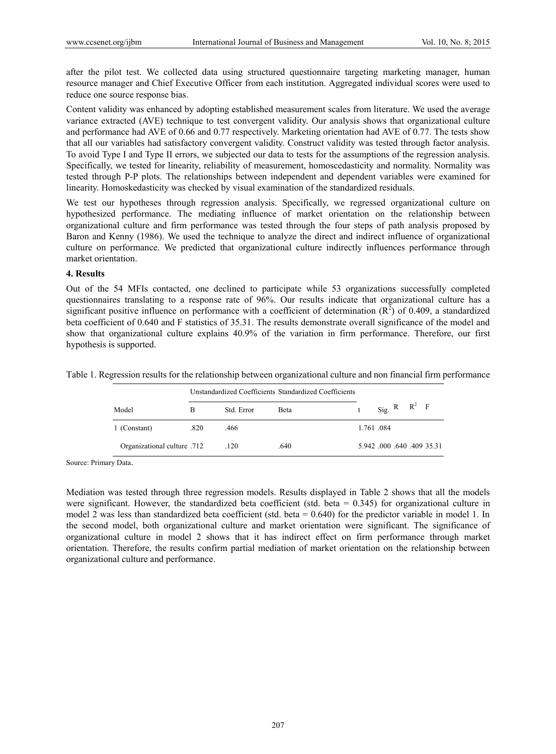after the pilot test. We collected data using structured questionnaire targeting marketing manager, human resource manager and Chief Executive Officer from each institution. Aggregated individual scores were used to reduce one source response bias.

Content validity was enhanced by adopting established measurement scales from literature. We used the average variance extracted (AVE) technique to test convergent validity. Our analysis shows that organizational culture and performance had AVE of 0.66 and 0.77 respectively. Marketing orientation had AVE of 0.77. The tests show that all our variables had satisfactory convergent validity. Construct validity was tested through factor analysis. To avoid Type I and Type II errors, we subjected our data to tests for the assumptions of the regression analysis. Specifically, we tested for linearity, reliability of measurement, homoscedasticity and normality. Normality was tested through P-P plots. The relationships between independent and dependent variables were examined for linearity. Homoskedasticity was checked by visual examination of the standardized residuals.

We test our hypotheses through regression analysis. Specifically, we regressed organizational culture on hypothesized performance. The mediating influence of market orientation on the relationship between organizational culture and firm performance was tested through the four steps of path analysis proposed by Baron and Kenny (1986). We used the technique to analyze the direct and indirect influence of organizational culture on performance. We predicted that organizational culture indirectly influences performance through market orientation.

#### **4. Results**

Out of the 54 MFIs contacted, one declined to participate while 53 organizations successfully completed questionnaires translating to a response rate of 96%. Our results indicate that organizational culture has a significant positive influence on performance with a coefficient of determination  $(R^2)$  of 0.409, a standardized beta coefficient of 0.640 and F statistics of 35.31. The results demonstrate overall significance of the model and show that organizational culture explains 40.9% of the variation in firm performance. Therefore, our first hypothesis is supported.

Table 1. Regression results for the relationship between organizational culture and non financial firm performance

|                             | Unstandardized Coefficients Standardized Coefficients |            |      |  |                         |
|-----------------------------|-------------------------------------------------------|------------|------|--|-------------------------|
| Model                       | В                                                     | Std. Error | Beta |  | Sig. R $R^2$ F          |
| 1 (Constant)                | .820                                                  | .466       |      |  | 1.761.084               |
| Organizational culture .712 |                                                       | .120       | .640 |  | 5.942 000 640 409 35.31 |

Source: Primary Data.

Mediation was tested through three regression models. Results displayed in Table 2 shows that all the models were significant. However, the standardized beta coefficient (std. beta = 0.345) for organizational culture in model 2 was less than standardized beta coefficient (std. beta = 0.640) for the predictor variable in model 1. In the second model, both organizational culture and market orientation were significant. The significance of organizational culture in model 2 shows that it has indirect effect on firm performance through market orientation. Therefore, the results confirm partial mediation of market orientation on the relationship between organizational culture and performance.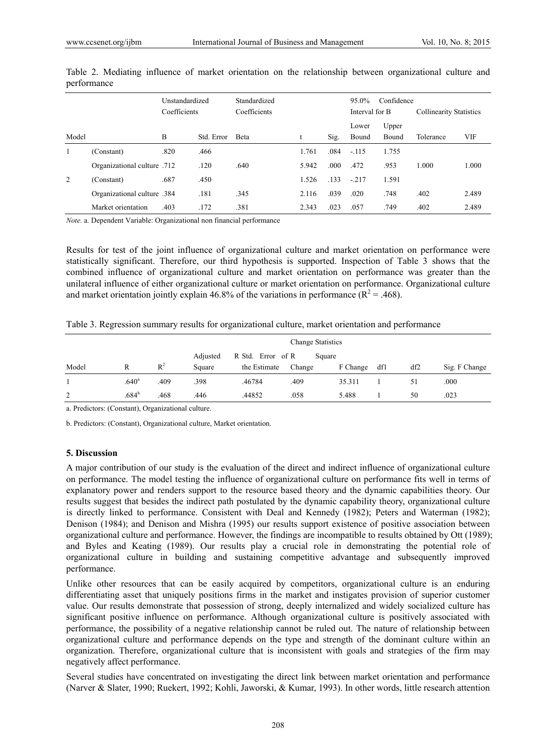|       | Unstandardized<br>Coefficients |      |            | Standardized<br>Coefficients |       |      | Confidence<br>$95.0\%$<br>Interval for B |                | <b>Collinearity Statistics</b> |       |
|-------|--------------------------------|------|------------|------------------------------|-------|------|------------------------------------------|----------------|--------------------------------|-------|
| Model |                                | B    | Std. Error | Beta                         | u     | Sig. | Lower<br>Bound                           | Upper<br>Bound | Tolerance                      | VIF   |
|       | (Constant)                     | .820 | .466       |                              | 1.761 | .084 | $-115$                                   | 1.755          |                                |       |
|       | Organizational culture .712    |      | .120       | .640                         | 5.942 | .000 | .472                                     | .953           | 1.000                          | 1.000 |
| 2     | (Constant)                     | .687 | .450       |                              | 1.526 | .133 | $-217$                                   | 1.591          |                                |       |
|       | 384. Organizational culture    |      | .181       | .345                         | 2.116 | .039 | .020                                     | .748           | .402                           | 2.489 |
|       | Market orientation             | .403 | .172       | .381                         | 2.343 | .023 | .057                                     | .749           | .402                           | 2.489 |

Table 2. Mediating influence of market orientation on the relationship between organizational culture and performance

*Note.* a. Dependent Variable: Organizational non financial performance

Results for test of the joint influence of organizational culture and market orientation on performance were statistically significant. Therefore, our third hypothesis is supported. Inspection of Table 3 shows that the combined influence of organizational culture and market orientation on performance was greater than the unilateral influence of either organizational culture or market orientation on performance. Organizational culture and market orientation jointly explain 46.8% of the variations in performance ( $R^2 = .468$ ).

| Table 3. Regression summary results for organizational culture, market orientation and performance |  |  |  |
|----------------------------------------------------------------------------------------------------|--|--|--|
|                                                                                                    |  |  |  |

|       |                   |       | <b>Change Statistics</b> |                   |        |          |     |     |               |
|-------|-------------------|-------|--------------------------|-------------------|--------|----------|-----|-----|---------------|
|       |                   |       | Adjusted                 | R Std. Error of R |        | Square   |     |     |               |
| Model |                   | $R^2$ | Square                   | the Estimate      | Change | F Change | df1 | df2 | Sig. F Change |
|       | .640 <sup>a</sup> | .409  | .398                     | .46784            | .409   | 35.311   |     | 51  | .000          |
| 2     | .684 <sup>b</sup> | .468  | .446                     | .44852            | .058   | 5.488    |     | 50  | .023          |

a. Predictors: (Constant), Organizational culture.

b. Predictors: (Constant), Organizational culture, Market orientation.

#### **5. Discussion**

A major contribution of our study is the evaluation of the direct and indirect influence of organizational culture on performance. The model testing the influence of organizational culture on performance fits well in terms of explanatory power and renders support to the resource based theory and the dynamic capabilities theory. Our results suggest that besides the indirect path postulated by the dynamic capability theory, organizational culture is directly linked to performance. Consistent with Deal and Kennedy (1982); Peters and Waterman (1982); Denison (1984); and Denison and Mishra (1995) our results support existence of positive association between organizational culture and performance. However, the findings are incompatible to results obtained by Ott (1989); and Byles and Keating (1989). Our results play a crucial role in demonstrating the potential role of organizational culture in building and sustaining competitive advantage and subsequently improved performance.

Unlike other resources that can be easily acquired by competitors, organizational culture is an enduring differentiating asset that uniquely positions firms in the market and instigates provision of superior customer value. Our results demonstrate that possession of strong, deeply internalized and widely socialized culture has significant positive influence on performance. Although organizational culture is positively associated with performance, the possibility of a negative relationship cannot be ruled out. The nature of relationship between organizational culture and performance depends on the type and strength of the dominant culture within an organization. Therefore, organizational culture that is inconsistent with goals and strategies of the firm may negatively affect performance.

Several studies have concentrated on investigating the direct link between market orientation and performance (Narver & Slater, 1990; Ruekert, 1992; Kohli, Jaworski, & Kumar, 1993). In other words, little research attention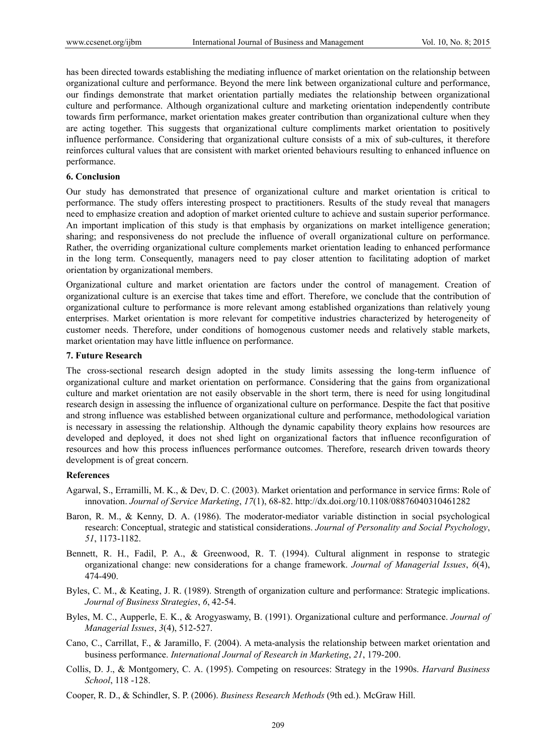has been directed towards establishing the mediating influence of market orientation on the relationship between organizational culture and performance. Beyond the mere link between organizational culture and performance, our findings demonstrate that market orientation partially mediates the relationship between organizational culture and performance. Although organizational culture and marketing orientation independently contribute towards firm performance, market orientation makes greater contribution than organizational culture when they are acting together. This suggests that organizational culture compliments market orientation to positively influence performance. Considering that organizational culture consists of a mix of sub-cultures, it therefore reinforces cultural values that are consistent with market oriented behaviours resulting to enhanced influence on performance.

#### **6. Conclusion**

Our study has demonstrated that presence of organizational culture and market orientation is critical to performance. The study offers interesting prospect to practitioners. Results of the study reveal that managers need to emphasize creation and adoption of market oriented culture to achieve and sustain superior performance. An important implication of this study is that emphasis by organizations on market intelligence generation; sharing; and responsiveness do not preclude the influence of overall organizational culture on performance. Rather, the overriding organizational culture complements market orientation leading to enhanced performance in the long term. Consequently, managers need to pay closer attention to facilitating adoption of market orientation by organizational members.

Organizational culture and market orientation are factors under the control of management. Creation of organizational culture is an exercise that takes time and effort. Therefore, we conclude that the contribution of organizational culture to performance is more relevant among established organizations than relatively young enterprises. Market orientation is more relevant for competitive industries characterized by heterogeneity of customer needs. Therefore, under conditions of homogenous customer needs and relatively stable markets, market orientation may have little influence on performance.

#### **7. Future Research**

The cross-sectional research design adopted in the study limits assessing the long-term influence of organizational culture and market orientation on performance. Considering that the gains from organizational culture and market orientation are not easily observable in the short term, there is need for using longitudinal research design in assessing the influence of organizational culture on performance. Despite the fact that positive and strong influence was established between organizational culture and performance, methodological variation is necessary in assessing the relationship. Although the dynamic capability theory explains how resources are developed and deployed, it does not shed light on organizational factors that influence reconfiguration of resources and how this process influences performance outcomes. Therefore, research driven towards theory development is of great concern.

#### **References**

- Agarwal, S., Erramilli, M. K., & Dev, D. C. (2003). Market orientation and performance in service firms: Role of innovation. *Journal of Service Marketing*, *17*(1), 68-82. http://dx.doi.org/10.1108/08876040310461282
- Baron, R. M., & Kenny, D. A. (1986). The moderator-mediator variable distinction in social psychological research: Conceptual, strategic and statistical considerations. *Journal of Personality and Social Psychology*, *51*, 1173-1182.
- Bennett, R. H., Fadil, P. A., & Greenwood, R. T. (1994). Cultural alignment in response to strategic organizational change: new considerations for a change framework. *Journal of Managerial Issues*, *6*(4), 474-490.
- Byles, C. M., & Keating, J. R. (1989). Strength of organization culture and performance: Strategic implications. *Journal of Business Strategies*, *6*, 42-54.
- Byles, M. C., Aupperle, E. K., & Arogyaswamy, B. (1991). Organizational culture and performance. *Journal of Managerial Issues*, *3*(4), 512-527.
- Cano, C., Carrillat, F., & Jaramillo, F. (2004). A meta-analysis the relationship between market orientation and business performance. *International Journal of Research in Marketing*, *21*, 179-200.
- Collis, D. J., & Montgomery, C. A. (1995). Competing on resources: Strategy in the 1990s. *Harvard Business School*, 118 -128.
- Cooper, R. D., & Schindler, S. P. (2006). *Business Research Methods* (9th ed.). McGraw Hill.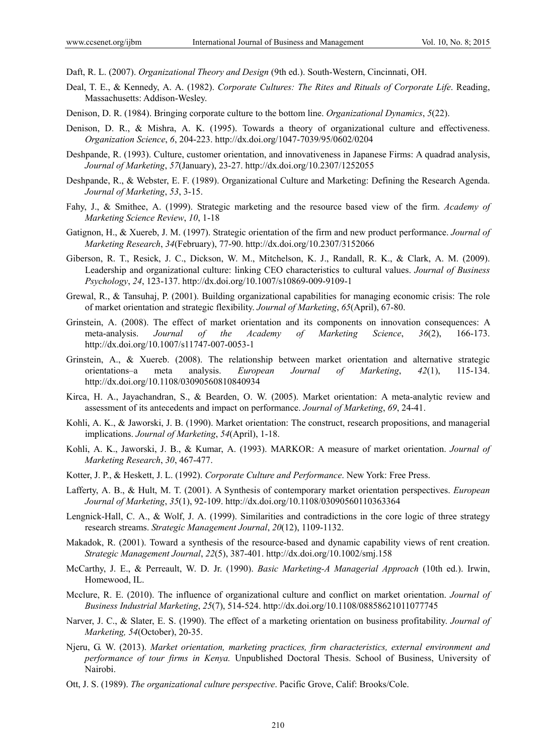Daft, R. L. (2007). *Organizational Theory and Design* (9th ed.). South-Western, Cincinnati, OH.

- Deal, T. E., & Kennedy, A. A. (1982). *Corporate Cultures: The Rites and Rituals of Corporate Life*. Reading, Massachusetts: Addison-Wesley.
- Denison, D. R. (1984). Bringing corporate culture to the bottom line. *Organizational Dynamics*, *5*(22).
- Denison, D. R., & Mishra, A. K. (1995). Towards a theory of organizational culture and effectiveness. *Organization Science*, *6*, 204-223. http://dx.doi.org/1047-7039/95/0602/0204
- Deshpande, R. (1993). Culture, customer orientation, and innovativeness in Japanese Firms: A quadrad analysis, *Journal of Marketing*, *57*(January), 23-27. http://dx.doi.org/10.2307/1252055
- Deshpande, R., & Webster, E. F. (1989). Organizational Culture and Marketing: Defining the Research Agenda. *Journal of Marketing*, *53*, 3-15.
- Fahy, J., & Smithee, A. (1999). Strategic marketing and the resource based view of the firm. *Academy of Marketing Science Review*, *10*, 1-18
- Gatignon, H., & Xuereb, J. M. (1997). Strategic orientation of the firm and new product performance. *Journal of Marketing Research*, *34*(February), 77-90. http://dx.doi.org/10.2307/3152066
- Giberson, R. T., Resick, J. C., Dickson, W. M., Mitchelson, K. J., Randall, R. K., & Clark, A. M. (2009). Leadership and organizational culture: linking CEO characteristics to cultural values. *Journal of Business Psychology*, *24*, 123-137. http://dx.doi.org/10.1007/s10869-009-9109-1
- Grewal, R., & Tansuhaj, P. (2001). Building organizational capabilities for managing economic crisis: The role of market orientation and strategic flexibility. *Journal of Marketing*, *65*(April), 67-80.
- Grinstein, A. (2008). The effect of market orientation and its components on innovation consequences: A meta-analysis. *Journal of the Academy of Marketing Science*, *36*(2), 166-173. http://dx.doi.org/10.1007/s11747-007-0053-1
- Grinstein, A., & Xuereb. (2008). The relationship between market orientation and alternative strategic orientations–a meta analysis. *European Journal of Marketing*, *42*(1), 115-134. http://dx.doi.org/10.1108/03090560810840934
- Kirca, H. A., Jayachandran, S., & Bearden, O. W. (2005). Market orientation: A meta-analytic review and assessment of its antecedents and impact on performance. *Journal of Marketing*, *69*, 24-41.
- Kohli, A. K., & Jaworski, J. B. (1990). Market orientation: The construct, research propositions, and managerial implications. *Journal of Marketing*, *54*(April), 1-18.
- Kohli, A. K., Jaworski, J. B., & Kumar, A. (1993). MARKOR: A measure of market orientation. *Journal of Marketing Research*, *30*, 467-477.
- Kotter, J. P., & Heskett, J. L. (1992). *Corporate Culture and Performance*. New York: Free Press.
- Lafferty, A. B., & Hult, M. T. (2001). A Synthesis of contemporary market orientation perspectives. *European Journal of Marketing*, *35*(1), 92-109. http://dx.doi.org/10.1108/03090560110363364
- Lengnick-Hall, C. A., & Wolf, J. A. (1999). Similarities and contradictions in the core logic of three strategy research streams. *Strategic Management Journal*, *20*(12), 1109-1132.
- Makadok, R. (2001). Toward a synthesis of the resource-based and dynamic capability views of rent creation. *Strategic Management Journal*, *22*(5), 387-401. http://dx.doi.org/10.1002/smj.158
- McCarthy, J. E., & Perreault, W. D. Jr. (1990). *Basic Marketing-A Managerial Approach* (10th ed.). Irwin, Homewood, IL.
- Mcclure, R. E. (2010). The influence of organizational culture and conflict on market orientation. *Journal of Business Industrial Marketing*, *25*(7), 514-524. http://dx.doi.org/10.1108/08858621011077745
- Narver, J. C., & Slater, E. S. (1990). The effect of a marketing orientation on business profitability. *Journal of Marketing, 54*(October), 20-35.
- Njeru, G. W. (2013). *Market orientation, marketing practices, firm characteristics, external environment and performance of tour firms in Kenya.* Unpublished Doctoral Thesis. School of Business, University of Nairobi.
- Ott, J. S. (1989). *The organizational culture perspective*. Pacific Grove, Calif: Brooks/Cole.